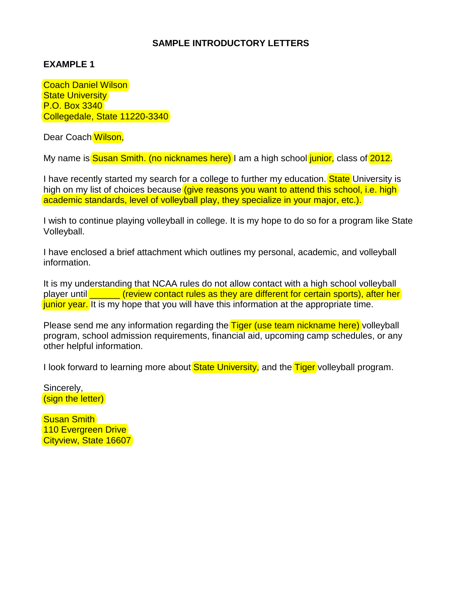## **SAMPLE INTRODUCTORY LETTERS**

## **EXAMPLE 1**

Coach Daniel Wilson **State University** P.O. Box 3340 Collegedale, State 11220-3340

Dear Coach Wilson,

My name is **Susan Smith.** (no nicknames here) I am a high school junior, class of 2012.

I have recently started my search for a college to further my education. **State** University is high on my list of choices because (give reasons you want to attend this school, i.e. high) academic standards, level of volleyball play, they specialize in your major, etc.).

I wish to continue playing volleyball in college. It is my hope to do so for a program like State Volleyball.

I have enclosed a brief attachment which outlines my personal, academic, and volleyball information.

It is my understanding that NCAA rules do not allow contact with a high school volleyball player until **external (review contact rules as they are different for certain sports), after her** junior year. It is my hope that you will have this information at the appropriate time.

Please send me any information regarding the Tiger (use team nickname here) volleyball program, school admission requirements, financial aid, upcoming camp schedules, or any other helpful information.

I look forward to learning more about State University, and the Tiger volleyball program.

Sincerely, (sign the letter)

Susan Smith 110 Evergreen Drive Cityview, State 16607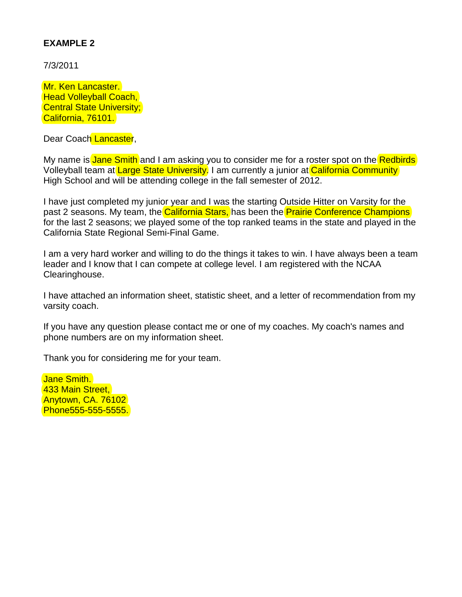# **EXAMPLE 2**

7/3/2011

Mr. Ken Lancaster. **Head Volleyball Coach, Central State University;** California, 76101.

Dear Coach Lancaster,

My name is Jane Smith and I am asking you to consider me for a roster spot on the Redbirds Volleyball team at Large State University. I am currently a junior at California Community High School and will be attending college in the fall semester of 2012.

I have just completed my junior year and I was the starting Outside Hitter on Varsity for the past 2 seasons. My team, the California Stars, has been the Prairie Conference Champions for the last 2 seasons; we played some of the top ranked teams in the state and played in the California State Regional Semi-Final Game.

I am a very hard worker and willing to do the things it takes to win. I have always been a team leader and I know that I can compete at college level. I am registered with the NCAA Clearinghouse.

I have attached an information sheet, statistic sheet, and a letter of recommendation from my varsity coach.

If you have any question please contact me or one of my coaches. My coach's names and phone numbers are on my information sheet.

Thank you for considering me for your team.

Jane Smith. 433 Main Street, Anytown, CA. 76102 Phone555-555-5555.